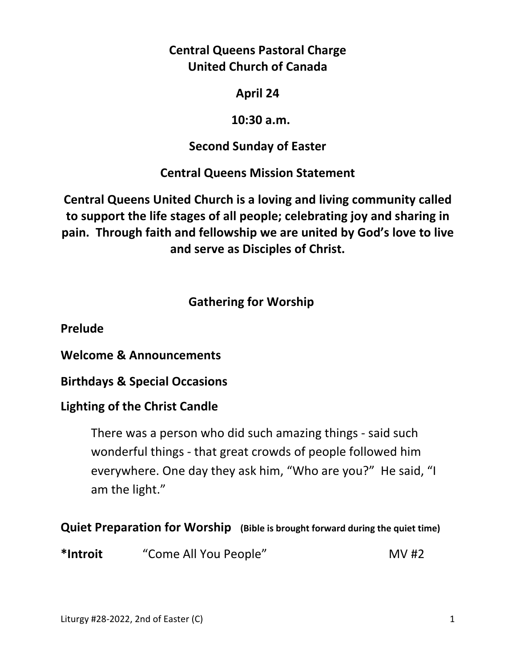## **Central Queens Pastoral Charge United Church of Canada**

## **April 24**

## **10:30 a.m.**

# **Second Sunday of Easter**

# **Central Queens Mission Statement**

**Central Queens United Church is a loving and living community called to support the life stages of all people; celebrating joy and sharing in pain. Through faith and fellowship we are united by God's love to live and serve as Disciples of Christ.**

# **Gathering for Worship**

**Prelude** 

**Welcome & Announcements** 

**Birthdays & Special Occasions** 

# **Lighting of the Christ Candle**

There was a person who did such amazing things - said such wonderful things - that great crowds of people followed him everywhere. One day they ask him, "Who are you?" He said, "I am the light."

# **Quiet Preparation for Worship (Bible is brought forward during the quiet time)**

\*Introit "Come All You People" MV #2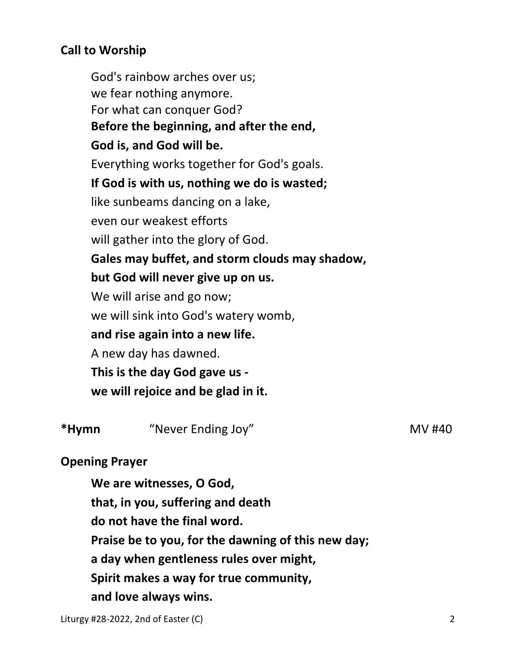## **Call to Worship**

 God's rainbow arches over us; we fear nothing anymore. For what can conquer God?  **Before the beginning, and after the end, God is, and God will be.**  Everything works together for God's goals.  **If God is with us, nothing we do is wasted;**  like sunbeams dancing on a lake, even our weakest efforts will gather into the glory of God.  **Gales may buffet, and storm clouds may shadow, but God will never give up on us.**  We will arise and go now; we will sink into God's watery womb,  **and rise again into a new life.**  A new day has dawned.  **This is the day God gave us we will rejoice and be glad in it.** 

**\*Hymn** "Never Ending Joy"MV #40

### **Opening Prayer**

 **We are witnesses, O God, that, in you, suffering and death do not have the final word. Praise be to you, for the dawning of this new day; a day when gentleness rules over might, Spirit makes a way for true community, and love always wins.**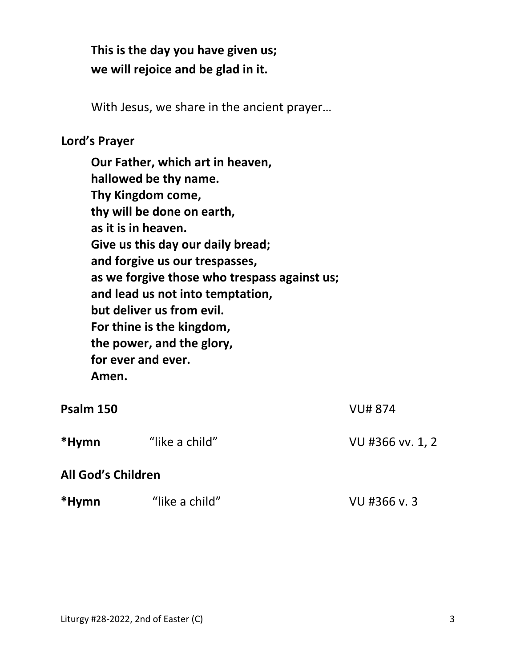**This is the day you have given us; we will rejoice and be glad in it.** 

With Jesus, we share in the ancient prayer…

#### **Lord's Prayer**

**Our Father, which art in heaven, hallowed be thy name. Thy Kingdom come, thy will be done on earth, as it is in heaven. Give us this day our daily bread; and forgive us our trespasses, as we forgive those who trespass against us; and lead us not into temptation, but deliver us from evil. For thine is the kingdom, the power, and the glory, for ever and ever. Amen.** 

| Psalm 150                 |                | <b>VU#874</b>    |
|---------------------------|----------------|------------------|
| *Hymn                     | "like a child" | VU #366 vv. 1, 2 |
| <b>All God's Children</b> |                |                  |
| *Hymn                     | "like a child" | VU #366 v. 3     |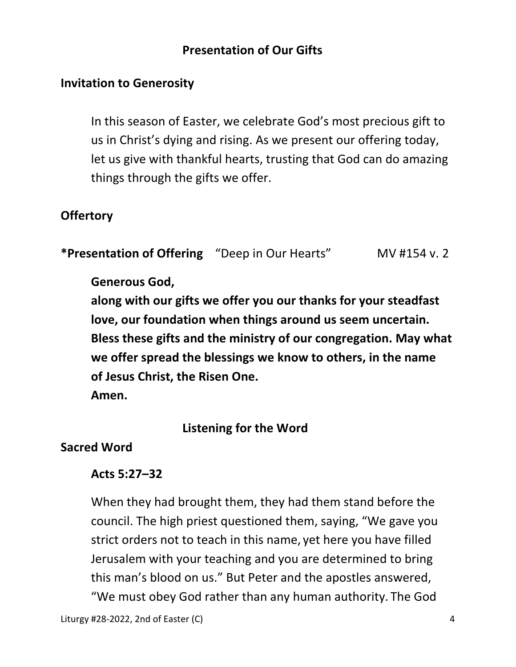## **Presentation of Our Gifts**

#### **Invitation to Generosity**

 In this season of Easter, we celebrate God's most precious gift to us in Christ's dying and rising. As we present our offering today, let us give with thankful hearts, trusting that God can do amazing things through the gifts we offer.

#### **Offertory**

**\*Presentation of Offering** "Deep in Our Hearts" MV #154 v. 2

**Generous God,** 

 **along with our gifts we offer you our thanks for your steadfast love, our foundation when things around us seem uncertain. Bless these gifts and the ministry of our congregation. May what we offer spread the blessings we know to others, in the name of Jesus Christ, the Risen One.** 

 **Amen.** 

 **Listening for the Word** 

#### **Sacred Word**

#### **Acts 5:27–32**

When they had brought them, they had them stand before the council. The high priest questioned them, saying, "We gave you strict orders not to teach in this name, yet here you have filled Jerusalem with your teaching and you are determined to bring this man's blood on us." But Peter and the apostles answered, "We must obey God rather than any human authority. The God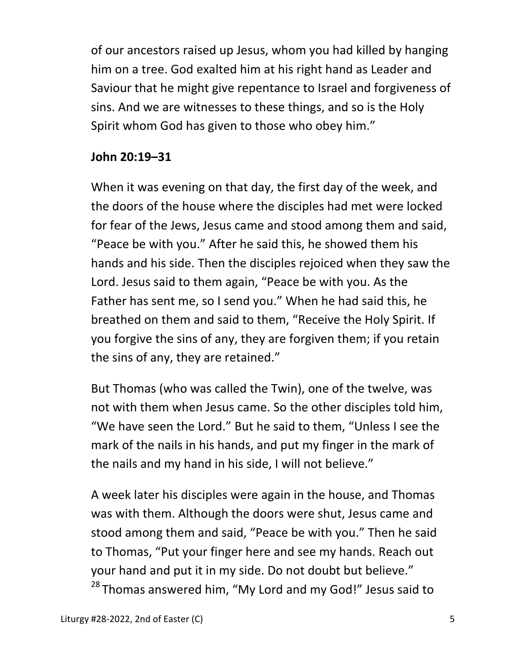of our ancestors raised up Jesus, whom you had killed by hanging him on a tree. God exalted him at his right hand as Leader and Saviour that he might give repentance to Israel and forgiveness of sins. And we are witnesses to these things, and so is the Holy Spirit whom God has given to those who obey him."

### **John 20:19–31**

When it was evening on that day, the first day of the week, and the doors of the house where the disciples had met were locked for fear of the Jews, Jesus came and stood among them and said, "Peace be with you." After he said this, he showed them his hands and his side. Then the disciples rejoiced when they saw the Lord. Jesus said to them again, "Peace be with you. As the Father has sent me, so I send you." When he had said this, he breathed on them and said to them, "Receive the Holy Spirit. If you forgive the sins of any, they are forgiven them; if you retain the sins of any, they are retained."

But Thomas (who was called the Twin), one of the twelve, was not with them when Jesus came. So the other disciples told him, "We have seen the Lord." But he said to them, "Unless I see the mark of the nails in his hands, and put my finger in the mark of the nails and my hand in his side, I will not believe."

A week later his disciples were again in the house, and Thomas was with them. Although the doors were shut, Jesus came and stood among them and said, "Peace be with you." Then he said to Thomas, "Put your finger here and see my hands. Reach out your hand and put it in my side. Do not doubt but believe."  $28$ Thomas answered him, "My Lord and my God!" Jesus said to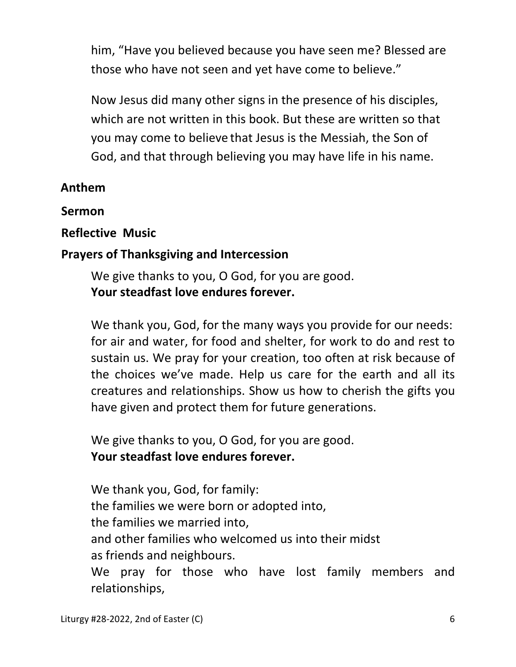him, "Have you believed because you have seen me? Blessed are those who have not seen and yet have come to believe."

Now Jesus did many other signs in the presence of his disciples, which are not written in this book. But these are written so that you may come to believe that Jesus is the Messiah, the Son of God, and that through believing you may have life in his name.

## **Anthem**

### **Sermon**

### **Reflective Music**

## **Prayers of Thanksgiving and Intercession**

 We give thanks to you, O God, for you are good.  **Your steadfast love endures forever.** 

 We thank you, God, for the many ways you provide for our needs: for air and water, for food and shelter, for work to do and rest to sustain us. We pray for your creation, too often at risk because of the choices we've made. Help us care for the earth and all its creatures and relationships. Show us how to cherish the gifts you have given and protect them for future generations.

 We give thanks to you, O God, for you are good.  **Your steadfast love endures forever.** 

 We thank you, God, for family: the families we were born or adopted into, the families we married into, and other families who welcomed us into their midst as friends and neighbours. We pray for those who have lost family members and relationships,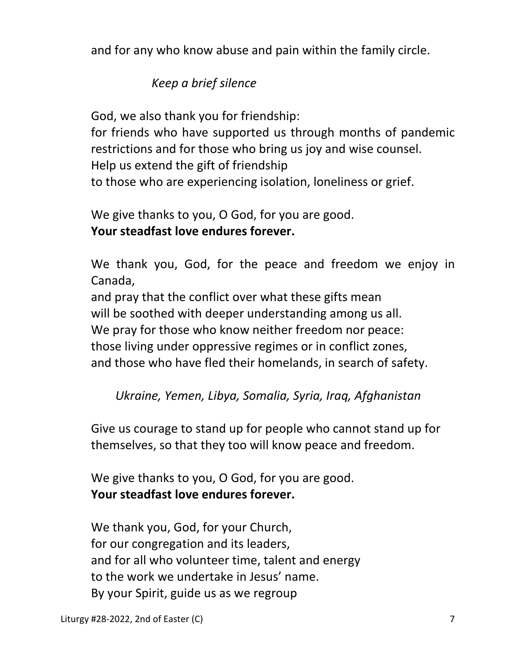and for any who know abuse and pain within the family circle.

*Keep a brief silence*

 God, we also thank you for friendship: for friends who have supported us through months of pandemic restrictions and for those who bring us joy and wise counsel. Help us extend the gift of friendship to those who are experiencing isolation, loneliness or grief.

 We give thanks to you, O God, for you are good.  **Your steadfast love endures forever.** 

We thank you, God, for the peace and freedom we enjoy in Canada,

 and pray that the conflict over what these gifts mean will be soothed with deeper understanding among us all. We pray for those who know neither freedom nor peace: those living under oppressive regimes or in conflict zones, and those who have fled their homelands, in search of safety.

*Ukraine, Yemen, Libya, Somalia, Syria, Iraq, Afghanistan* 

 Give us courage to stand up for people who cannot stand up for themselves, so that they too will know peace and freedom.

 We give thanks to you, O God, for you are good.  **Your steadfast love endures forever.** 

 We thank you, God, for your Church, for our congregation and its leaders, and for all who volunteer time, talent and energy to the work we undertake in Jesus' name. By your Spirit, guide us as we regroup